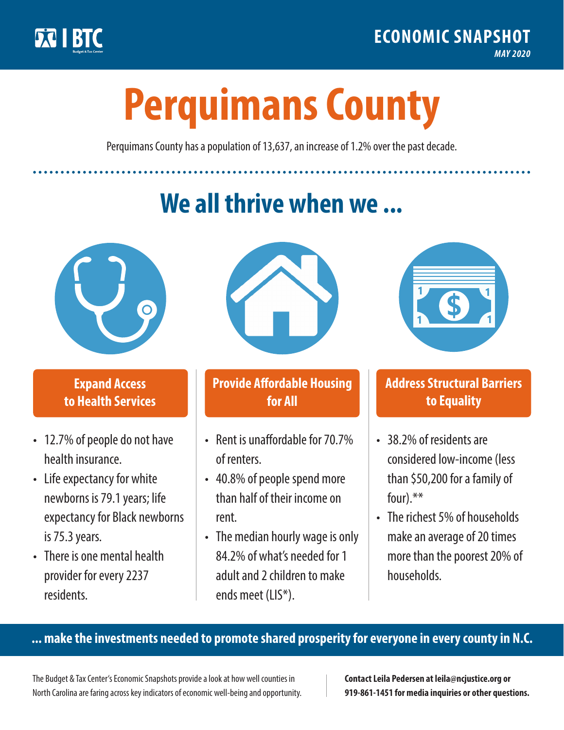

**1**

# **Perquimans County**

Perquimans County has a population of 13,637, an increase of 1.2% over the past decade.

# **We all thrive when we ...**



**\$ <sup>1</sup>**

**\$ <sup>1</sup>**

#### **Expand Access to Health Services**

- 12.7% of people do not have health insurance.
- Life expectancy for white newborns is 79.1years; life expectancy for Black newborns is 75.3years.
- There is one mental health provider for every 2237 residents.



## **Provide Affordable Housing for All**

- Rent is unaffordable for 70.7% of renters.
- 40.8% of people spend more than half of their income on rent.
- The median hourly wage is only 84.2% of what's needed for 1 adult and 2 children to make ends meet (LIS\*).



## **Address Structural Barriers to Equality**

- 38.2% of residents are considered low-income (less than \$50,200 for a family of four).\*\*
- The richest 5% of households make an average of 20 times more than the poorest 20% of households.

#### **... make the investments needed to promote shared prosperity for everyone in every county in N.C.**

The Budget & Tax Center's Economic Snapshots provide a look at how well counties in North Carolina are faring across key indicators of economic well-being and opportunity.